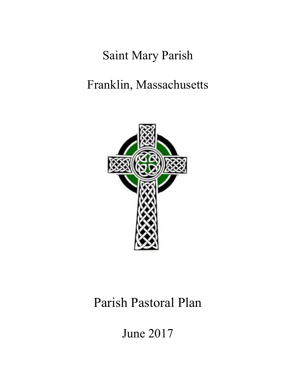# Saint Mary Parish

# Franklin, Massachusetts



# Parish Pastoral Plan

June 2017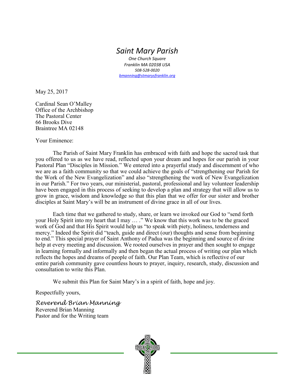# *Saint Mary Parish*

*One Church Square Franklin MA 02038 USA 508-528-0020 [bmanning@stmarysfranklin.org](mailto:bmanning@stmarysfranklin.org)*

May 25, 2017

Cardinal Sean O'Malley Office of the Archbishop The Pastoral Center 66 Brooks Dive Braintree MA 02148

Your Eminence:

The Parish of Saint Mary Franklin has embraced with faith and hope the sacred task that you offered to us as we have read, reflected upon your dream and hopes for our parish in your Pastoral Plan "Disciples in Mission." We entered into a prayerful study and discernment of who we are as a faith community so that we could achieve the goals of "strengthening our Parish for the Work of the New Evangelization" and also "strengthening the work of New Evangelization in our Parish." For two years, our ministerial, pastoral, professional and lay volunteer leadership have been engaged in this process of seeking to develop a plan and strategy that will allow us to grow in grace, wisdom and knowledge so that this plan that we offer for our sister and brother disciples at Saint Mary's will be an instrument of divine grace in all of our lives.

Each time that we gathered to study, share, or learn we invoked our God to "send forth your Holy Spirit into my heart that I may … ." We know that this work was to be the graced work of God and that His Spirit would help us "to speak with piety, holiness, tenderness and mercy." Indeed the Spirit did "teach, guide and direct (our) thoughts and sense from beginning to end." This special prayer of Saint Anthony of Padua was the beginning and source of divine help at every meeting and discussion. We rooted ourselves in prayer and then sought to engage in learning formally and informally and then began the actual process of writing our plan which reflects the hopes and dreams of people of faith. Our Plan Team, which is reflective of our entire parish community gave countless hours to prayer, inquiry, research, study, discussion and consultation to write this Plan.

We submit this Plan for Saint Mary's in a spirit of faith, hope and joy.

Respectfully yours,

*Reverend Brian Manning* Reverend Brian Manning Pastor and for the Writing team

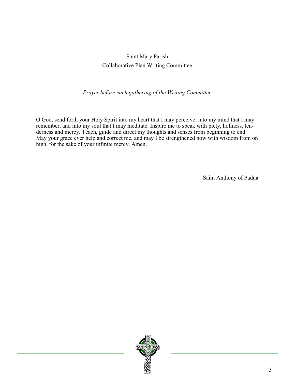# Saint Mary Parish Collaborative Plan Writing Committee

### *Prayer before each gathering of the Writing Committee*

O God, send forth your [Holy Spirit](http://www.catholic.org/encyclopedia/view.php?id=5854) into my heart that I may perceive, into my [mind](http://www.catholic.org/encyclopedia/view.php?id=8001) that I may remember, and into my [soul](http://www.catholic.org/encyclopedia/view.php?id=10963) that I may meditate. Inspire me to speak with piety, holiness, tenderness and mercy. Teach, guide and direct my thoughts and senses from beginning to end. May your [grace](http://www.catholic.org/encyclopedia/view.php?id=5305) ever help and correct me, and may I be strengthened now with [wisdom](http://www.catholic.org/bible/book.php?id=27) from on high, for the sake of your infinite mercy. Amen.

Saint Anthony of [Padua](http://www.catholic.org/encyclopedia/view.php?id=8886)

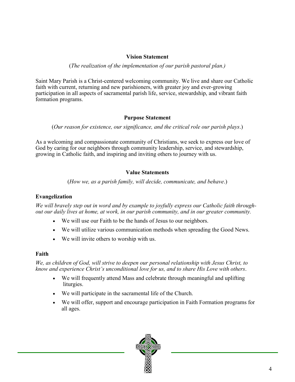#### **Vision Statement**

(*The realization of the implementation of our parish pastoral plan.)*

Saint Mary Parish is a Christ-centered welcoming community. We live and share our Catholic faith with current, returning and new parishioners, with greater joy and ever-growing participation in all aspects of sacramental parish life, service, stewardship, and vibrant faith formation programs.

#### **Purpose Statement**

(*Our reason for existence, our significance, and the critical role our parish plays*.)

As a welcoming and compassionate community of Christians, we seek to express our love of God by caring for our neighbors through community leadership, service, and stewardship, growing in Catholic faith, and inspiring and inviting others to journey with us.

#### **Value Statements**

(*How we, as a parish family, will decide, communicate, and behave*.)

#### **Evangelization**

*We will bravely step out in word and by example to joyfully express our Catholic faith throughout our daily lives at home, at work, in our parish community, and in our greater community.*

- We will use our Faith to be the hands of Jesus to our neighbors.
- We will utilize various communication methods when spreading the Good News.
- We will invite others to worship with us.

#### **Faith**

*We, as children of God, will strive to deepen our personal relationship with Jesus Christ, to know and experience Christ's unconditional love for us, and to share His Love with others*.

- We will frequently attend Mass and celebrate through meaningful and uplifting liturgies.
- We will participate in the sacramental life of the Church.
- We will offer, support and encourage participation in Faith Formation programs for all ages.

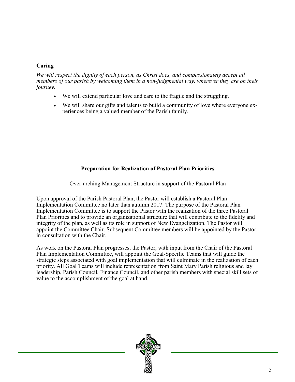### **Caring**

*We will respect the dignity of each person, as Christ does, and compassionately accept all members of our parish by welcoming them in a non-judgmental way, wherever they are on their journey.*

- We will extend particular love and care to the fragile and the struggling.
- We will share our gifts and talents to build a community of love where everyone experiences being a valued member of the Parish family.

## **Preparation for Realization of Pastoral Plan Priorities**

Over-arching Management Structure in support of the Pastoral Plan

Upon approval of the Parish Pastoral Plan, the Pastor will establish a Pastoral Plan Implementation Committee no later than autumn 2017. The purpose of the Pastoral Plan Implementation Committee is to support the Pastor with the realization of the three Pastoral Plan Priorities and to provide an organizational structure that will contribute to the fidelity and integrity of the plan, as well as its role in support of New Evangelization. The Pastor will appoint the Committee Chair. Subsequent Committee members will be appointed by the Pastor, in consultation with the Chair.

As work on the Pastoral Plan progresses, the Pastor, with input from the Chair of the Pastoral Plan Implementation Committee, will appoint the Goal-Specific Teams that will guide the strategic steps associated with goal implementation that will culminate in the realization of each priority. All Goal Teams will include representation from Saint Mary Parish religious and lay leadership, Parish Council, Finance Council, and other parish members with special skill sets of value to the accomplishment of the goal at hand.

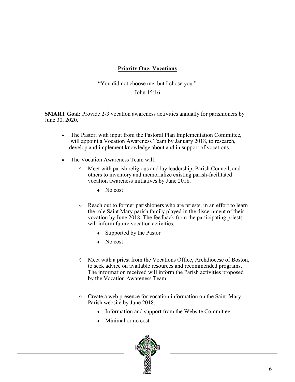## **Priority One: Vocations**

"You did not choose me, but I chose you."

John 15:16

**SMART Goal:** Provide 2-3 vocation awareness activities annually for parishioners by June 30, 2020.

- The Pastor, with input from the Pastoral Plan Implementation Committee, will appoint a Vocation Awareness Team by January 2018, to research, develop and implement knowledge about and in support of vocations.
- The Vocation Awareness Team will:
	- Meet with parish religious and lay leadership, Parish Council, and others to inventory and memorialize existing parish-facilitated vocation awareness initiatives by June 2018.
		- $\bullet$  No cost
	- $\Diamond$  Reach out to former parishioners who are priests, in an effort to learn the role Saint Mary parish family played in the discernment of their vocation by June 2018. The feedback from the participating priests will inform future vocation activities.
		- Supported by the Pastor
		- No cost
	- Meet with a priest from the Vocations Office, Archdiocese of Boston, to seek advice on available resources and recommended programs. The information received will inform the Parish activities proposed by the Vocation Awareness Team.
	- $\Diamond$  Create a web presence for vocation information on the Saint Mary Parish website by June 2018.
		- Information and support from the Website Committee
		- Minimal or no cost

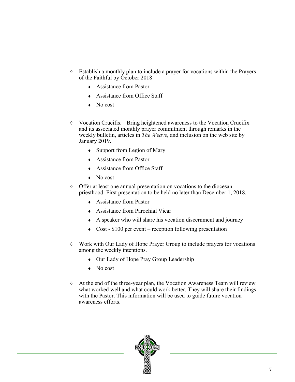- Establish a monthly plan to include a prayer for vocations within the Prayers of the Faithful by October 2018
	- Assistance from Pastor
	- Assistance from Office Staff
	- No cost
- $\Diamond$  Vocation Crucifix Bring heightened awareness to the Vocation Crucifix and its associated monthly prayer commitment through remarks in the weekly bulletin, articles in *The Weave*, and inclusion on the web site by January 2019.
	- Support from Legion of Mary
	- Assistance from Pastor
	- Assistance from Office Staff
	- No cost
- $\lozenge$  Offer at least one annual presentation on vocations to the diocesan priesthood. First presentation to be held no later than December 1, 2018.
	- Assistance from Pastor
	- Assistance from Parochial Vicar
	- A speaker who will share his vocation discernment and journey
	- $\triangleleft$  Cost \$100 per event reception following presentation
- Work with Our Lady of Hope Prayer Group to include prayers for vocations among the weekly intentions.
	- Our Lady of Hope Pray Group Leadership
	- No cost
- At the end of the three-year plan, the Vocation Awareness Team will review what worked well and what could work better. They will share their findings with the Pastor. This information will be used to guide future vocation awareness efforts.

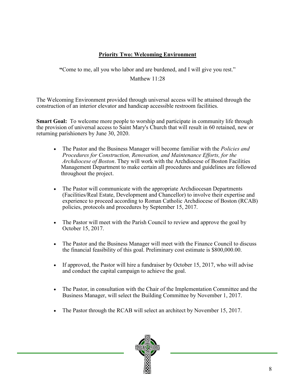# **Priority Two: Welcoming Environment**

**"**Come to me, all you who labor and are burdened, and I will give you rest."

Matthew 11:28

The Welcoming Environment provided through universal access will be attained through the construction of an interior elevator and handicap accessible restroom facilities.

**Smart Goal:** To welcome more people to worship and participate in community life through the provision of universal access to Saint Mary's Church that will result in 60 retained, new or returning parishioners by June 30, 2020.

- The Pastor and the Business Manager will become familiar with the *Policies and Procedures for Construction, Renovation, and Maintenance Efforts, for the Archdiocese of Boston*. They will work with the Archdiocese of Boston Facilities Management Department to make certain all procedures and guidelines are followed throughout the project.
- The Pastor will communicate with the appropriate Archdiocesan Departments (Facilities/Real Estate, Development and Chancellor) to involve their expertise and experience to proceed according to Roman Catholic Archdiocese of Boston (RCAB) policies, protocols and procedures by September 15, 2017.
- The Pastor will meet with the Parish Council to review and approve the goal by October 15, 2017.
- The Pastor and the Business Manager will meet with the Finance Council to discuss the financial feasibility of this goal. Preliminary cost estimate is \$800,000.00.
- If approved, the Pastor will hire a fundraiser by October 15, 2017, who will advise and conduct the capital campaign to achieve the goal.
- The Pastor, in consultation with the Chair of the Implementation Committee and the Business Manager, will select the Building Committee by November 1, 2017.
- The Pastor through the RCAB will select an architect by November 15, 2017.

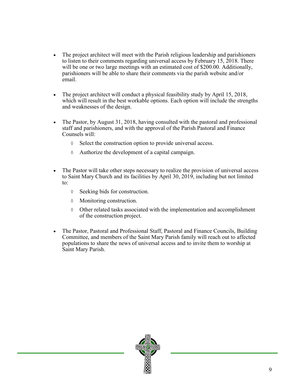- The project architect will meet with the Parish religious leadership and parishioners to listen to their comments regarding universal access by February 15, 2018. There will be one or two large meetings with an estimated cost of \$200.00. Additionally, parishioners will be able to share their comments via the parish website and/or email.
- The project architect will conduct a physical feasibility study by April 15, 2018, which will result in the best workable options. Each option will include the strengths and weaknesses of the design.
- The Pastor, by August 31, 2018, having consulted with the pastoral and professional staff and parishioners, and with the approval of the Parish Pastoral and Finance Counsels will:
	- $\Diamond$  Select the construction option to provide universal access.
	- $\Diamond$  Authorize the development of a capital campaign.
- The Pastor will take other steps necessary to realize the provision of universal access to Saint Mary Church and its facilities by April 30, 2019, including but not limited to:
	- $\Diamond$  Seeking bids for construction.
	- Monitoring construction.
	- $\Diamond$  Other related tasks associated with the implementation and accomplishment of the construction project.
- The Pastor, Pastoral and Professional Staff, Pastoral and Finance Councils, Building Committee, and members of the Saint Mary Parish family will reach out to affected populations to share the news of universal access and to invite them to worship at Saint Mary Parish.

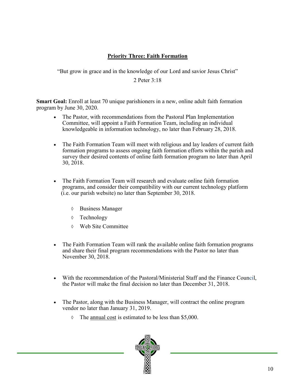## **Priority Three: Faith Formation**

"But grow in grace and in the knowledge of our Lord and savior Jesus Christ"

2 Peter 3:18

**Smart Goal:** Enroll at least 70 unique parishioners in a new, online adult faith formation program by June 30, 2020.

- The Pastor, with recommendations from the Pastoral Plan Implementation Committee, will appoint a Faith Formation Team, including an individual knowledgeable in information technology, no later than February 28, 2018.
- The Faith Formation Team will meet with religious and lay leaders of current faith formation programs to assess ongoing faith formation efforts within the parish and survey their desired contents of online faith formation program no later than April 30, 2018.
- The Faith Formation Team will research and evaluate online faith formation programs, and consider their compatibility with our current technology platform (i.e. our parish website) no later than September 30, 2018.
	- Business Manager
	- Technology
	- Web Site Committee
- The Faith Formation Team will rank the available online faith formation programs and share their final program recommendations with the Pastor no later than November 30, 2018.
- With the recommendation of the Pastoral/Ministerial Staff and the Finance Council, the Pastor will make the final decision no later than December 31, 2018.
- The Pastor, along with the Business Manager, will contract the online program vendor no later than January 31, 2019.
	- $\lozenge$  The annual cost is estimated to be less than \$5,000.

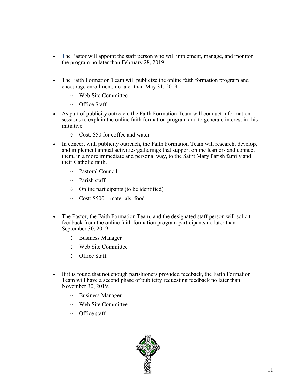- The Pastor will appoint the staff person who will implement, manage, and monitor the program no later than February 28, 2019.
- The Faith Formation Team will publicize the online faith formation program and encourage enrollment, no later than May 31, 2019.
	- Web Site Committee
	- Office Staff
- As part of publicity outreach, the Faith Formation Team will conduct information sessions to explain the online faith formation program and to generate interest in this initiative.
	- Cost: \$50 for coffee and water
- In concert with publicity outreach, the Faith Formation Team will research, develop, and implement annual activities/gatherings that support online learners and connect them, in a more immediate and personal way, to the Saint Mary Parish family and their Catholic faith.
	- Pastoral Council
	- Parish staff
	- Online participants (to be identified)
	- Cost: \$500 materials, food
- The Pastor, the Faith Formation Team, and the designated staff person will solicit feedback from the online faith formation program participants no later than September 30, 2019.
	- Business Manager
	- Web Site Committee
	- Office Staff
- If it is found that not enough parishioners provided feedback, the Faith Formation Team will have a second phase of publicity requesting feedback no later than November 30, 2019.
	- Business Manager
	- Web Site Committee
	- Office staff